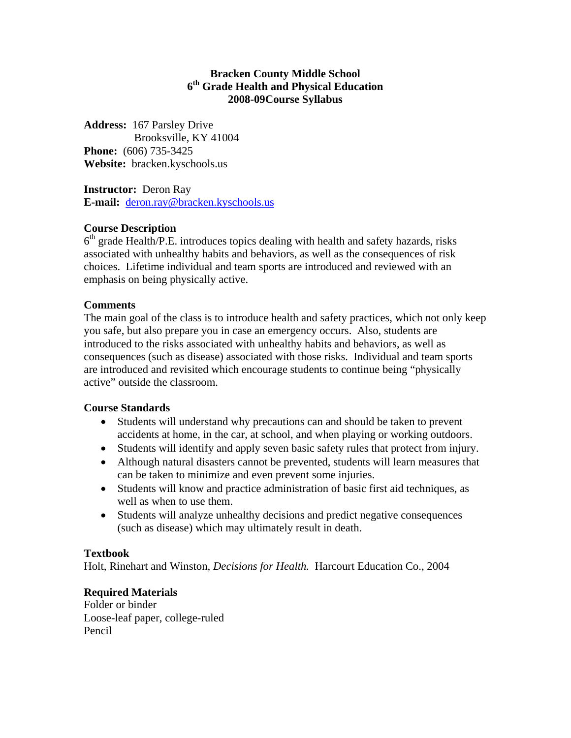#### **Bracken County Middle School 6th Grade Health and Physical Education 2008-09Course Syllabus**

**Address:** 167 Parsley Drive Brooksville, KY 41004 **Phone:** (606) 735-3425 **Website:** bracken.kyschools.us

**Instructor:** Deron Ray **E-mail:** [deron.ray@bracken.kyschools.us](mailto:deron.ray@bracken.kyschools.us)

## **Course Description**

 $6<sup>th</sup>$  grade Health/P.E. introduces topics dealing with health and safety hazards, risks associated with unhealthy habits and behaviors, as well as the consequences of risk choices. Lifetime individual and team sports are introduced and reviewed with an emphasis on being physically active.

## **Comments**

The main goal of the class is to introduce health and safety practices, which not only keep you safe, but also prepare you in case an emergency occurs. Also, students are introduced to the risks associated with unhealthy habits and behaviors, as well as consequences (such as disease) associated with those risks. Individual and team sports are introduced and revisited which encourage students to continue being "physically active" outside the classroom.

#### **Course Standards**

- Students will understand why precautions can and should be taken to prevent accidents at home, in the car, at school, and when playing or working outdoors.
- Students will identify and apply seven basic safety rules that protect from injury.
- Although natural disasters cannot be prevented, students will learn measures that can be taken to minimize and even prevent some injuries.
- Students will know and practice administration of basic first aid techniques, as well as when to use them.
- Students will analyze unhealthy decisions and predict negative consequences (such as disease) which may ultimately result in death.

## **Textbook**

Holt, Rinehart and Winston, *Decisions for Health.* Harcourt Education Co., 2004

## **Required Materials**

Folder or binder Loose-leaf paper, college-ruled Pencil